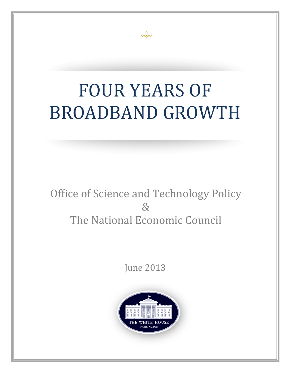# FOUR YEARS OF BROADBAND GROWTH

Jo

# Office of Science and Technology Policy & The National Economic Council

June 2013

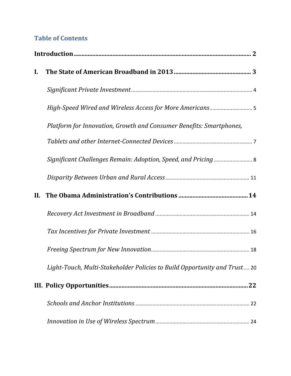# **Table of Contents**

| $\mathbf{I}$ . |                                                                           |
|----------------|---------------------------------------------------------------------------|
|                |                                                                           |
|                |                                                                           |
|                | Platform for Innovation, Growth and Consumer Benefits: Smartphones,       |
|                |                                                                           |
|                |                                                                           |
|                |                                                                           |
| II.            |                                                                           |
|                |                                                                           |
|                |                                                                           |
|                |                                                                           |
|                | Light-Touch, Multi-Stakeholder Policies to Build Opportunity and Trust 20 |
|                |                                                                           |
|                |                                                                           |
|                |                                                                           |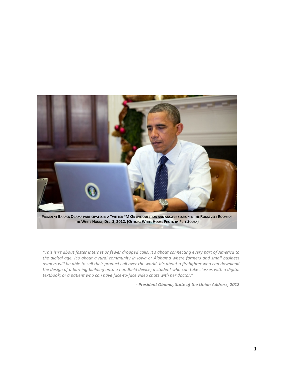

*"This isn't about faster Internet or fewer dropped calls. It's about connecting every part of America to the digital age. It's about a rural community in Iowa or Alabama where farmers and small business owners will be able to sell their products all over the world. It's about a firefighter who can download the design of a burning building onto a handheld device; a student who can take classes with a digital textbook; or a patient who can have face-to-face video chats with her doctor."*

*- President Obama, State of the Union Address, 2012*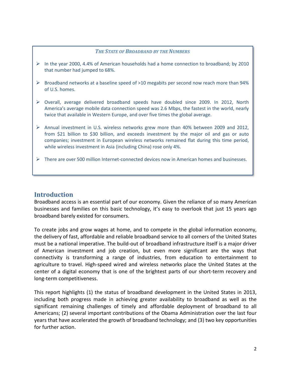#### *THE STATE OF BROADBAND BY THE NUMBERS*

- $\triangleright$  In the year 2000, 4.4% of American households had a home connection to broadband; by 2010 that number had jumped to 68%.
- $\triangleright$  Broadband networks at a baseline speed of >10 megabits per second now reach more than 94% of U.S. homes.
- $\triangleright$  Overall, average delivered broadband speeds have doubled since 2009. In 2012, North America's average mobile data connection speed was 2.6 Mbps, the fastest in the world, nearly twice that available in Western Europe, and over five times the global average.
- $\triangleright$  Annual investment in U.S. wireless networks grew more than 40% between 2009 and 2012, from \$21 billion to \$30 billion, and exceeds investment by the major oil and gas or auto companies; investment in European wireless networks remained flat during this time period, while wireless investment in Asia (including China) rose only 4%.
- $\triangleright$  There are over 500 million Internet-connected devices now in American homes and businesses.

#### <span id="page-3-0"></span>**Introduction**

Broadband access is an essential part of our economy. Given the reliance of so many American businesses and families on this basic technology, it's easy to overlook that just 15 years ago broadband barely existed for consumers.

To create jobs and grow wages at home, and to compete in the global information economy, the delivery of fast, affordable and reliable broadband service to all corners of the United States must be a national imperative. The build-out of broadband infrastructure itself is a major driver of American investment and job creation, but even more significant are the ways that connectivity is transforming a range of industries, from education to entertainment to agriculture to travel. High-speed wired and wireless networks place the United States at the center of a digital economy that is one of the brightest parts of our short-term recovery and long-term competitiveness.

This report highlights (1) the status of broadband development in the United States in 2013, including both progress made in achieving greater availability to broadband as well as the significant remaining challenges of timely and affordable deployment of broadband to all Americans; (2) several important contributions of the Obama Administration over the last four years that have accelerated the growth of broadband technology; and (3) two key opportunities for further action.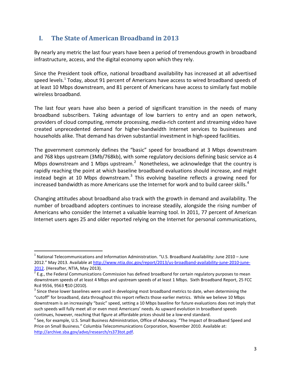# <span id="page-4-0"></span>**I. The State of American Broadband in 2013**

By nearly any metric the last four years have been a period of tremendous growth in broadband infrastructure, access, and the digital economy upon which they rely.

Since the President took office, national broadband availability has increased at all advertised speed levels.<sup>[1](#page-4-1)</sup> Today, about 91 percent of Americans have access to wired broadband speeds of at least 10 Mbps downstream, and 81 percent of Americans have access to similarly fast mobile wireless broadband.

The last four years have also been a period of significant transition in the needs of many broadband subscribers. Taking advantage of low barriers to entry and an open network, providers of cloud computing, remote processing, media-rich content and streaming video have created unprecedented demand for higher-bandwidth Internet services to businesses and households alike. That demand has driven substantial investment in high-speed facilities.

The government commonly defines the "basic" speed for broadband at 3 Mbps downstream and 768 kbps upstream (3Mb/768kb), with some regulatory decisions defining basic service as 4 Mbps downstream and 1 Mbps upstream.<sup>[2](#page-4-2)</sup> Nonetheless, we acknowledge that the country is rapidly reaching the point at which baseline broadband evaluations should increase, and might instead begin at 10 Mbps downstream.<sup>[3](#page-4-3)</sup> This evolving baseline reflects a growing need for increased bandwidth as more Americans use the Internet for work and to build career skills.<sup>[4](#page-4-4)</sup>

Changing attitudes about broadband also track with the growth in demand and availability. The number of broadband adopters continues to increase steadily, alongside the rising number of Americans who consider the Internet a valuable learning tool. In 2011, 77 percent of American Internet users ages 25 and older reported relying on the Internet for personal communications,

<span id="page-4-1"></span> $1$  National Telecommunications and Information Administration. "U.S. Broadband Availability: June 2010 – June 2012." May 2013. Available at [http://www.ntia.doc.gov/report/2013/us-broadband-availability-june-2010-june-](http://www.ntia.doc.gov/report/2013/us-broadband-availability-june-2010-june-2012)[2012.](http://www.ntia.doc.gov/report/2013/us-broadband-availability-june-2010-june-2012) (Hereafter, NTIA, May 2013).<br><sup>2</sup> E.g., the Federal Communications Commission has defined broadband for certain regulatory purposes to mean

<span id="page-4-2"></span>downstream speeds of at least 4 Mbps and upstream speeds of at least 1 Mbps. Sixth Broadband Report, 25 FCC Rcd 9556, 9563 ¶10 (2010).

<span id="page-4-3"></span> $3$  Since these lower baselines were used in developing most broadband metrics to date, when determining the "cutoff" for broadband, data throughout this report reflects those earlier metrics. While we believe 10 Mbps downstream is an increasingly "basic" speed, setting a 10 Mbps baseline for future evaluations does not imply that such speeds will fully meet all or even most Americans' needs. As upward evolution in broadband speeds

<span id="page-4-4"></span>continues, however, reaching that figure at affordable prices should be a low-end standard.<br><sup>4</sup> See, for example, U.S. Small Business Administration, Office of Advocacy. "The Impact of Broadband Speed and Price on Small Business." Columbia Telecommunications Corporation, November 2010. Available at: [http://archive.sba.gov/advo/research/rs373tot.pdf.](http://archive.sba.gov/advo/research/rs373tot.pdf)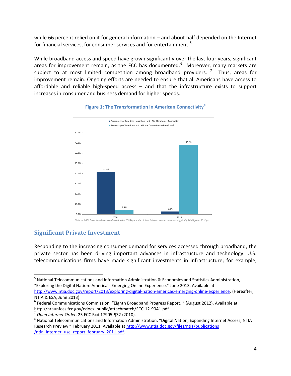while 66 percent relied on it for general information – and about half depended on the Internet for financial services, for consumer services and for entertainment.<sup>[5](#page-5-1)</sup>

While broadband access and speed have grown significantly over the last four years, significant areas for improvement remain, as the FCC has documented.<sup>[6](#page-5-2)</sup> Moreover, many markets are subject to at most limited competition among broadband providers.<sup>[7](#page-5-3)</sup> Thus, areas for improvement remain. Ongoing efforts are needed to ensure that all Americans have access to affordable and reliable high-speed access – and that the infrastructure exists to support increases in consumer and business demand for higher speeds.



#### **Figure 1: The Transformation in American Connectivity[8](#page-5-4)**

#### <span id="page-5-0"></span>**Significant Private Investment**

Responding to the increasing consumer demand for services accessed through broadband, the private sector has been driving important advances in infrastructure and technology. U.S. telecommunications firms have made significant investments in infrastructure; for example,

<span id="page-5-1"></span> 5 National Telecommunications and Information Administration & Economics and Statistics Administration, "Exploring the Digital Nation: America's Emerging Online Experience." June 2013. Available at [http://www.ntia.doc.gov/report/2013/exploring-digital-nation-americas-emerging-online-experience.](http://www.ntia.doc.gov/report/2013/exploring-digital-nation-americas-emerging-online-experience) (Hereafter,

<span id="page-5-2"></span>NTIA & ESA, June 2013).<br><sup>6</sup> Federal Communications Commission, "Eighth Broadband Progress Report.," (August 2012). Available at: http://hraunfoss.fcc.gov/edocs\_public/attachmatch/FCC-12-90A1.pdf.<br><sup>7</sup> Open Internet Order, 25 FCC Rcd 17905 ¶32 (2010).<br><sup>8</sup> National Telecommunications and Information Administration, "Digital Nation, Expanding Internet A

<span id="page-5-3"></span>

<span id="page-5-4"></span>Research Preview," February 2011. Available at http://www.ntia.doc.gov/files/ntia/publications [/ntia\\_Internet\\_use\\_report\\_february\\_2011.pdf.](http://www.ntia.doc.gov/files/ntia/publications%20/ntia_Internet_use_report_february_2011.pdf)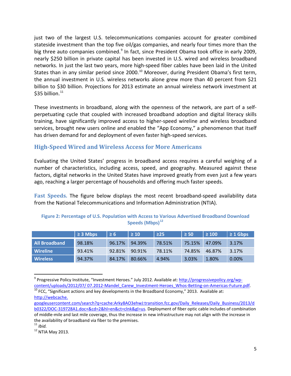just two of the largest U.S. telecommunications companies account for greater combined stateside investment than the top five oil/gas companies, and nearly four times more than the big three auto companies combined.<sup>[9](#page-6-1)</sup> In fact, since President Obama took office in early 2009, nearly \$250 billion in private capital has been invested in U.S. wired and wireless broadband networks. In just the last two years, more high-speed fiber cables have been laid in the United States than in any similar period since 2000.<sup>[10](#page-6-2)</sup> Moreover, during President Obama's first term, the annual investment in U.S. wireless networks alone grew more than 40 percent from \$21 billion to \$30 billion. Projections for 2013 estimate an annual wireless network investment at \$35 billion. $11$ 

These investments in broadband, along with the openness of the network, are part of a selfperpetuating cycle that coupled with increased broadband adoption and digital literacy skills training, have significantly improved access to higher-speed wireline and wireless broadband services, brought new users online and enabled the "App Economy," a phenomenon that itself has driven demand for and deployment of even faster high-speed services.

#### <span id="page-6-0"></span>**High-Speed Wired and Wireless Access for More Americans**

Evaluating the United States' progress in broadband access requires a careful weighing of a number of characteristics, including access, speed, and geography. Measured against these factors, digital networks in the United States have improved greatly from even just a few years ago, reaching a larger percentage of households and offering much faster speeds.

**Fast Speeds.** The figure below displays the most recent broadband-speed availability data from the National Telecommunications and Information Administration (NTIA).

|                      | $\geq$ 3 Mbps | $\geq 6$ | $\geq 10$ | ≥25    | $\geq 50$ | $\geq 100$ | $\geq 1$ Gbps |
|----------------------|---------------|----------|-----------|--------|-----------|------------|---------------|
| <b>All Broadband</b> | 98.18%        | 96.17%   | 94.39%    | 78.51% | 75.15%    | 47.09%     | 3.17%         |
| Wireline             | 93.41%        | 92.81%   | 90.91%    | 78.11% | 74.85%    | 46.87%     | 3.17%         |
| <b>Wireless</b>      | 94.37%        | 84.17%   | 80.66%    | 4.94%  | 3.03%     | 1.80%      | 0.00%         |

#### **Figure 2: Percentage of U.S. Population with Access to Various Advertised Broadband Download Speeds (Mbps)[12](#page-6-4)**

<span id="page-6-1"></span><sup>&</sup>lt;sup>9</sup> Progressive Policy Institute, "Investment Heroes." July 2012. Available at: [http://progressivepolicy.org/wp](http://progressivepolicy.org/wp-content/uploads/2012/07/%2007.2012-Mandel_Carew_Investment-Heroes_Whos-Betting-on-Americas-Future.pdf)content/uploads/2012/07/ 07.2012-Mandel\_Carew\_Investment-Heroes\_Whos-Betting-on-Americas-Future.pdf. <sup>10</sup> FCC, "Significant actions and key developments in the Broadband Economy," 2013. Available at:

<span id="page-6-2"></span>http://webcache.

googleusercontent.com/search?q=cache:Arky8AO3ehwJ:transition.fcc.gov/Daily\_Releases/Daily\_Business/2013/d b0322/DOC-319728A1.doc+&cd=2&hl=en&ct=clnk&gl=us. Deployment of fiber optic cable includes of combination of middle-mile and last mile coverage, thus the increase in new infrastructure may not align with the increase in the availability of broadband via fiber to the premises.

<span id="page-6-3"></span><sup>11</sup> *Ibid.*

<span id="page-6-4"></span> $12$  NTIA May 2013.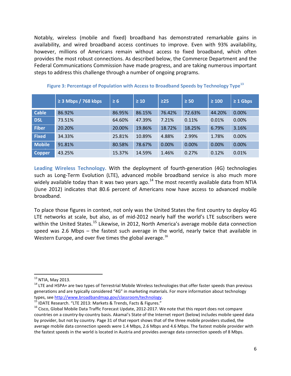Notably, wireless (mobile and fixed) broadband has demonstrated remarkable gains in availability, and wired broadband access continues to improve. Even with 93% availability, however, millions of Americans remain without access to fixed broadband, which often provides the most robust connections. As described below, the Commerce Department and the Federal Communications Commission have made progress, and are taking numerous important steps to address this challenge through a number of ongoing programs.

|               | $\geq$ 3 Mbps / 768 kbps | $\geq 6$ | $\geq 10$ | $\geq$ 25 | $\geq 50$ | $\geq 100$ | $\geq 1$ Gbps |
|---------------|--------------------------|----------|-----------|-----------|-----------|------------|---------------|
| <b>Cable</b>  | 86.92%                   | 86.95%   | 86.15%    | 76.42%    | 72.63%    | 44.20%     | 0.00%         |
| <b>DSL</b>    | 73.51%                   | 64.60%   | 47.39%    | 7.21%     | 0.11%     | 0.01%      | 0.00%         |
| <b>Fiber</b>  | 20.20%                   | 20.00%   | 19.86%    | 18.72%    | 18.25%    | 6.79%      | 3.16%         |
| <b>Fixed</b>  | 34.33%                   | 25.81%   | 10.89%    | 4.88%     | 2.99%     | 1.78%      | 0.00%         |
| <b>Mobile</b> | 91.81%                   | 80.58%   | 78.67%    | 0.00%     | 0.00%     | 0.00%      | 0.00%         |
| <b>Copper</b> | 43.25%                   | 15.37%   | 14.59%    | 1.46%     | 0.27%     | 0.12%      | 0.01%         |

**Figure 3: Percentage of Population with Access to Broadband Speeds by Technology Type[13](#page-7-0)**

**Leading Wireless Technology.** With the deployment of fourth-generation (4G) technologies such as Long-Term Evolution (LTE), advanced mobile broadband service is also much more widely available today than it was two years ago.<sup>[14](#page-7-1)</sup> The most recently available data from NTIA (June 2012) indicates that 80.6 percent of Americans now have access to advanced mobile broadband.

To place those figures in context, not only was the United States the first country to deploy 4G LTE networks at scale, but also, as of mid-2012 nearly half the world's LTE subscribers were within the United States.<sup>[15](#page-7-2)</sup> Likewise, in 2012, North America's average mobile data connection speed was 2.6 Mbps – the fastest such average in the world, nearly twice that available in Western Europe, and over five times the global average.<sup>[16](#page-7-3)</sup>

<span id="page-7-1"></span><span id="page-7-0"></span><sup>&</sup>lt;sup>13</sup> NTIA, May 2013.<br><sup>14</sup> LTE and HSPA+ are two types of Terrestrial Mobile Wireless technologies that offer faster speeds than previous generations and are typically considered "4G" in marketing materials. For more information about technology types, see [http://www.broadbandmap.gov/classroom/technology.](http://www.broadbandmap.gov/classroom/technology)<br><sup>15</sup> IDATE Research. "LTE 2013: Markets & Trends, Facts & Figures."<br><sup>16</sup> Cisco, Global Mobile Data Traffic Forecast Update, 2012-2017. We note that this report d

<span id="page-7-2"></span>

<span id="page-7-3"></span>countries on a country-by-country basis. Akamai's State of the Internet report (below) includes mobile speed data by provider, but not by country. Page 31 of that report shows that of the three mobile providers studied, the average mobile data connection speeds were 1.4 Mbps, 2.6 Mbps and 4.6 Mbps. The fastest mobile provider with the fastest speeds in the world is located in Austria and provides average data connection speeds of 8 Mbps.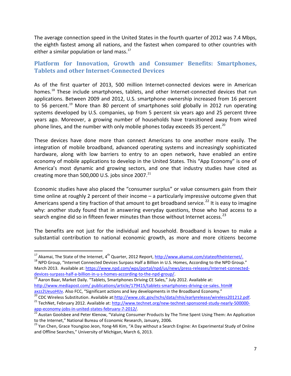The average connection speed in the United States in the fourth quarter of 2012 was 7.4 Mbps, the eighth fastest among all nations, and the fastest when compared to other countries with either a similar population or land mass. $17$ 

### <span id="page-8-0"></span>**Platform for Innovation, Growth and Consumer Benefits: Smartphones, Tablets and other Internet-Connected Devices**

As of the first quarter of 2013, 500 million Internet-connected devices were in American homes.<sup>[18](#page-8-2)</sup> These include smartphones, tablets, and other Internet-connected devices that run applications. Between 2009 and 2012, U.S. smartphone ownership increased from 16 percent to 56 percent.<sup>[19](#page-8-3)</sup> More than 80 percent of smartphones sold globally in 2012 run operating systems developed by U.S. companies, up from 5 percent six years ago and 25 percent three years ago. Moreover, a growing number of households have transitioned away from wired phone lines, and the number with only mobile phones today exceeds 35 percent.<sup>[20](#page-8-4)</sup>

These devices have done more than connect Americans to one another more easily. The integration of mobile broadband, advanced operating systems and increasingly sophisticated hardware, along with low barriers to entry to an open network, have enabled an entire economy of mobile applications to develop in the United States. This "App Economy" is one of America's most dynamic and growing sectors, and one that industry studies have cited as creating more than 500,000 U.S. jobs since 2007.<sup>[21](#page-8-5)</sup>

Economic studies have also placed the "consumer surplus" or value consumers gain from their time online at roughly 2 percent of their income – a particularly impressive outcome given that Americans spend a tiny fraction of that amount to get broadband service.<sup>[22](#page-8-6)</sup> It is easy to imagine why: another study found that in answering everyday questions, those who had access to a search engine did so in fifteen fewer minutes than those without Internet access. $^{23}$  $^{23}$  $^{23}$ 

The benefits are not just for the individual and household. Broadband is known to make a substantial contribution to national economic growth, as more and more citizens become

<span id="page-8-1"></span><sup>&</sup>lt;sup>17</sup> Akamai, The State of the Internet, 4<sup>th</sup> Quarter, 2012 Report, <u>http://www.akamai.com/stateoftheInternet/.</u><br><sup>18</sup> NPD Group, "Internet Connected Devices Surpass Half a Billion in U.S. Homes, According to the NPD Group.

<span id="page-8-2"></span>March 2013. Available at: [https://www.npd.com/wps/portal/npd/us/news/press-releases/Internet-connected](https://www.npd.com/wps/portal/npd/us/news/press-releases/Internet-connected-devices-surpass-half-a-billion-in-u-s-homes-according-to-the-npd-group/)[devices-surpass-half-a-billion-in-u-s-homes-according-to-the-npd-group/.](https://www.npd.com/wps/portal/npd/us/news/press-releases/Internet-connected-devices-surpass-half-a-billion-in-u-s-homes-according-to-the-npd-group/)<br><sup>19</sup> Aaron Baar, Market Daily. "Tablets, Smartphones Driving CE Sales," July 2012. Available at:

<span id="page-8-3"></span>[http://www.mediapost.com/ publications/article/179415/tablets-smartphones-driving-ce-sales.](http://www.mediapost.com/%20publications/article/179415/tablets-smartphones-driving-ce-sales.%20%20html# axzz2UeuoHIJv) html#

<span id="page-8-4"></span>axzz2UeuoHIJv</u>. Also FCC, "Significant actions and key developments in the Broadband Economy."<br><sup>20</sup> CDC Wireless Substitution. Available at:<u>http://www.cdc.gov/nchs/data/nhis/earlyrelease/wireless201212.pdf</u>.<br><sup>21</sup> TechNet,

<span id="page-8-6"></span><span id="page-8-5"></span>[app-economy-jobs-in-united-states-february-7-2012/.](http://www.technet.org/new-technet-sponsored-study-nearly-500000-app-economy-jobs-in-united-states-february-7-2012/)<br>
<sup>22</sup> Austan Goolsbee and Peter Klenow, "Valuing Consumer Products by The Time Spent Using Them: An Application<br>
to the Internet," National Bureau of Economic Research, J

<span id="page-8-7"></span><sup>&</sup>lt;sup>23</sup> Yan Chen, Grace YoungJoo Jeon, Yong-Mi Kim, "A Day without a Search Engine: An Experimental Study of Online and Offline Searches," University of Michigan, March 6, 2013.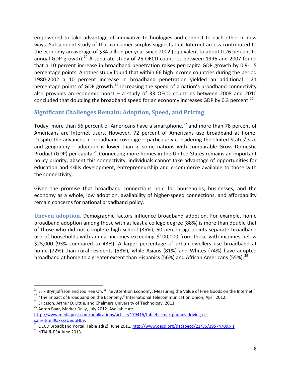empowered to take advantage of innovative technologies and connect to each other in new ways. Subsequent study of that consumer surplus suggests that Internet access contributed to the economy an average of \$34 billion per year since 2002 (equivalent to about 0.26 percent to annual GDP growth). $^{24}$  $^{24}$  $^{24}$  A separate study of 25 OECD countries between 1996 and 2007 found that a 10 percent increase in broadband penetration raises per-capita GDP growth by 0.9-1.5 percentage points. Another study found that within 66 high income countries during the period 1980-2002 a 10 percent increase in broadband penetration yielded an additional 1.21 percentage points of GDP growth.<sup>[25](#page-9-2)</sup> Increasing the speed of a nation's broadband connectivity also provides an economic boost – a study of 33 OECD countries between 2008 and 2010 concluded that doubling the broadband speed for an economy increases GDP by 0.3 percent.<sup>[26](#page-9-3)</sup>

## <span id="page-9-0"></span>**Significant Challenges Remain: Adoption, Speed, and Pricing**

Today, more than 56 percent of Americans have a smartphone,<sup>[27](#page-9-4)</sup> and more than 78 percent of Americans are Internet users. However, 72 percent of Americans use broadband at home. Despite the advances in broadband coverage – particularly considering the United States' size and geography – adoption is lower than in some nations with comparable Gross Domestic Product (GDP) per capita.<sup>[28](#page-9-5)</sup> Connecting more homes in the United States remains an important policy priority; absent this connectivity, individuals cannot take advantage of opportunities for education and skills development, entrepreneurship and e-commerce available to those with the connectivity.

Given the promise that broadband connections hold for households, businesses, and the economy as a whole, low adoption, availability of higher-speed connections, and affordability remain concerns for national broadband policy.

**Uneven adoption.** Demographic factors influence broadband adoption. For example, home broadband adoption among those with at least a college degree (88%) is more than double that of those who did not complete high school (35%); 50 percentage points separate broadband use of households with annual incomes exceeding \$100,000 from those with incomes below \$25,000 (93% compared to 43%). A larger percentage of urban dwellers use broadband at home (72%) than rural residents (58%), while Asians (81%) and Whites (74%) have adopted broadband at home to a greater extent than Hispanics (56%) and African Americans (55%).<sup>[29](#page-9-6)</sup>

<span id="page-9-1"></span><sup>&</sup>lt;sup>24</sup> Erik Brynjolfsson and Joo Hee Oh, "The Attention Economy: Measuring the Value of Free Goods on the Internet."<br><sup>25</sup> "The Impact of Broadband on the Economy." International Telecommunication Union, April 2012.<br><sup>26</sup> Eri

<span id="page-9-3"></span><span id="page-9-2"></span>

<span id="page-9-4"></span>[http://www.mediapost.com/publications/article/179415/tablets-smartphones-driving-ce-](http://www.mediapost.com/publications/article/179415/tablets-smartphones-driving-ce-sales.html#axzz2UeuoHIJv)

<span id="page-9-5"></span>[sales.html#axzz2UeuoHIJv.](http://www.mediapost.com/publications/article/179415/tablets-smartphones-driving-ce-sales.html#axzz2UeuoHIJv)<br><sup>28</sup> OECD Broadband Portal, Table 1d(2). June 2011. [http://www.oecd.org/dataoecd/21/35/39574709.xls.](http://www.oecd.org/dataoecd/21/35/39574709.xls)<br><sup>29</sup> NTIA & ESA June 2013.

<span id="page-9-6"></span>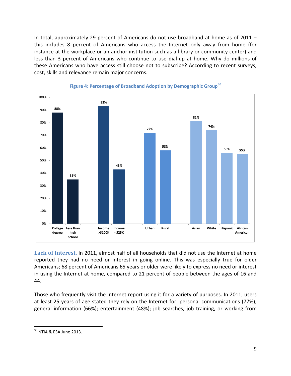In total, approximately 29 percent of Americans do not use broadband at home as of 2011 – this includes 8 percent of Americans who access the Internet only away from home (for instance at the workplace or an anchor institution such as a library or community center) and less than 3 percent of Americans who continue to use dial-up at home. Why do millions of these Americans who have access still choose not to subscribe? According to recent surveys, cost, skills and relevance remain major concerns.



#### **Figure 4: Percentage of Broadband Adoption by Demographic Group[30](#page-10-0)**

**Lack of Interest.** In 2011, almost half of all households that did not use the Internet at home reported they had no need or interest in going online. This was especially true for older Americans; 68 percent of Americans 65 years or older were likely to express no need or interest in using the Internet at home, compared to 21 percent of people between the ages of 16 and 44.

Those who frequently visit the Internet report using it for a variety of purposes. In 2011, users at least 25 years of age stated they rely on the Internet for: personal communications (77%); general information (66%); entertainment (48%); job searches, job training, or working from

<span id="page-10-0"></span> <sup>30</sup> NTIA & ESA June 2013.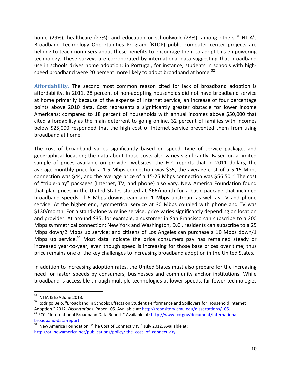home (29%); healthcare (27%); and education or schoolwork (23%), among others.<sup>[31](#page-11-0)</sup> NTIA's Broadband Technology Opportunities Program (BTOP) public computer center projects are helping to teach non-users about these benefits to encourage them to adopt this empowering technology. These surveys are corroborated by international data suggesting that broadband use in schools drives home adoption; in Portugal, for instance, students in schools with high-speed broadband were 20 percent more likely to adopt broadband at home.<sup>[32](#page-11-1)</sup>

**Affordability.** The second most common reason cited for lack of broadband adoption is affordability. In 2011, 28 percent of non-adopting households did not have broadband service at home primarily because of the expense of Internet service, an increase of four percentage points above 2010 data. Cost represents a significantly greater obstacle for lower income Americans: compared to 18 percent of households with annual incomes above \$50,000 that cited affordability as the main deterrent to going online, 32 percent of families with incomes below \$25,000 responded that the high cost of Internet service prevented them from using broadband at home.

The cost of broadband varies significantly based on speed, type of service package, and geographical location; the data about those costs also varies significantly. Based on a limited sample of prices available on provider websites, the FCC reports that in 2011 dollars, the average monthly price for a 1-5 Mbps connection was \$35, the average cost of a 5-15 Mbps connection was \$44, and the average price of a 15-25 Mbps connection was \$56.50.<sup>[33](#page-11-2)</sup> The cost of "triple-play" packages (Internet, TV, and phone) also vary. New America Foundation found that plan prices in the United States started at \$66/month for a basic package that included broadband speeds of 6 Mbps downstream and 1 Mbps upstream as well as TV and phone service. At the higher end, symmetrical service at 30 Mbps coupled with phone and TV was \$130/month. For a stand-alone wireline service, price varies significantly depending on location and provider. At around \$35, for example, a customer in San Francisco can subscribe to a 200 Mbps symmetrical connection; New York and Washington, D.C., residents can subscribe to a 25 Mbps down/2 Mbps up service; and citizens of Los Angeles can purchase a 10 Mbps down/1 Mbps up service.<sup>[34](#page-11-3)</sup> Most data indicate the price consumers pay has remained steady or increased year-to-year, even though speed is increasing for those base prices over time; thus price remains one of the key challenges to increasing broadband adoption in the United States.

In addition to increasing adoption rates, the United States must also prepare for the increasing need for faster speeds by consumers, businesses and community anchor institutions. While broadband is accessible through multiple technologies at lower speeds, far fewer technologies

<span id="page-11-1"></span><span id="page-11-0"></span><sup>&</sup>lt;sup>31</sup> NTIA & ESA June 2013.<br><sup>32</sup> Rodrigo Belo, "Broadband in Schools: Effects on Student Performance and Spillovers for Household Internet

<span id="page-11-2"></span>Adoption." 2012. *Dissertations.* Paper 105. Available at: [http://repository.cmu.edu/dissertations/105.](http://repository.cmu.edu/dissertations/105)<br><sup>33</sup> FCC, "International Broadband Data Report." Available at: http://www.fcc.gov/document/international-<br>broadband-da

<span id="page-11-3"></span> $34$  New America Foundation, "The Cost of Connectivity." July 2012. Available at: [http://oti.newamerica.net/publications/policy/](http://oti.newamerica.net/publications/policy/%20the_cost_of_connectivity) the cost of connectivity.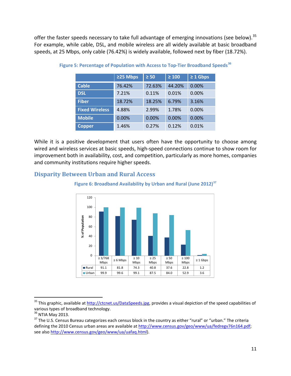offer the faster speeds necessary to take full advantage of emerging innovations (see below).<sup>[35](#page-12-1)</sup> For example, while cable, DSL, and mobile wireless are all widely available at basic broadband speeds, at 25 Mbps, only cable (76.42%) is widely available, followed next by fiber (18.72%).

|                       | ≥25 Mbps | $\geq 50$ | $\geq 100$ | $\geq 1$ Gbps |
|-----------------------|----------|-----------|------------|---------------|
| <b>Cable</b>          | 76.42%   | 72.63%    | 44.20%     | 0.00%         |
| <b>DSL</b>            | 7.21%    | 0.11%     | 0.01%      | 0.00%         |
| <b>Fiber</b>          | 18.72%   | 18.25%    | 6.79%      | 3.16%         |
| <b>Fixed Wireless</b> | 4.88%    | 2.99%     | 1.78%      | 0.00%         |
| <b>Mobile</b>         | 0.00%    | 0.00%     | 0.00%      | 0.00%         |
| <b>Copper</b>         | 1.46%    | 0.27%     | 0.12%      | 0.01%         |

**Figure 5: Percentage of Population with Access to Top-Tier Broadband Speeds[36](#page-12-2)**

While it is a positive development that users often have the opportunity to choose among wired and wireless services at basic speeds, high-speed connections continue to show room for improvement both in availability, cost, and competition, particularly as more homes, companies and community institutions require higher speeds.

#### <span id="page-12-0"></span>**Disparity Between Urban and Rural Access**



**Figure 6: Broadband Availability by Urban and Rural (June 2012)[37](#page-12-3)**

<span id="page-12-1"></span><sup>&</sup>lt;sup>35</sup> This graphic, available at [http://ctcnet.us/DataSpeeds.jpg,](http://ctcnet.us/DataSpeeds.jpg) provides a visual depiction of the speed capabilities of various types of broadband technology.<br><sup>36</sup> NTIA May 2013.<br><sup>37</sup> The U.S. Census Bureau categorizes each census block in the country as either "rural" or "urban." The criteria

<span id="page-12-2"></span>

<span id="page-12-3"></span>defining the 2010 Census urban areas are available a[t http://www.census.gov/geo/www/ua/fedregv76n164.pdf;](http://www.census.gov/geo/www/ua/fedregv76n164.pdf) see als[o http://www.census.gov/geo/www/ua/uafaq.html\)](http://www.census.gov/geo/www/ua/uafaq.html).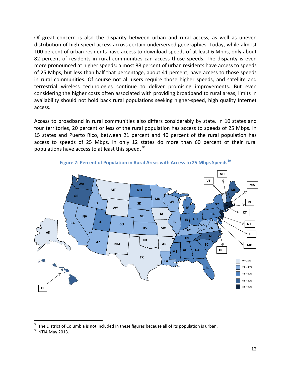Of great concern is also the disparity between urban and rural access, as well as uneven distribution of high-speed access across certain underserved geographies. Today, while almost 100 percent of urban residents have access to download speeds of at least 6 Mbps, only about 82 percent of residents in rural communities can access those speeds. The disparity is even more pronounced at higher speeds: almost 88 percent of urban residents have access to speeds of 25 Mbps, but less than half that percentage, about 41 percent, have access to those speeds in rural communities. Of course not all users require those higher speeds, and satellite and terrestrial wireless technologies continue to deliver promising improvements. But even considering the higher costs often associated with providing broadband to rural areas, limits in availability should not hold back rural populations seeking higher-speed, high quality Internet access.

Access to broadband in rural communities also differs considerably by state. In 10 states and four territories, 20 percent or less of the rural population has access to speeds of 25 Mbps. In 15 states and Puerto Rico, between 21 percent and 40 percent of the rural population has access to speeds of 25 Mbps. In only 12 states do more than 60 percent of their rural populations have access to at least this speed.<sup>[38](#page-13-0)</sup>





<span id="page-13-0"></span> $38$  The District of Columbia is not included in these figures because all of its population is urban.<br> $39$  NTIA Mav 2013.

<span id="page-13-1"></span>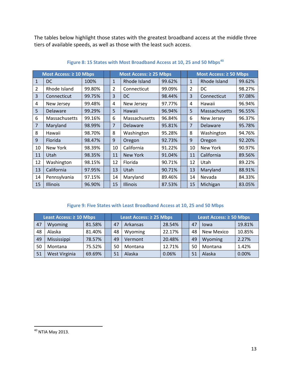The tables below highlight those states with the greatest broadband access at the middle three tiers of available speeds, as well as those with the least such access.

|                | Most Access: $\geq 10$ Mbps |        | Most Access: ≥ 25 Mbps |                      |        | Most Access: ≥ 50 Mbps |               |        |
|----------------|-----------------------------|--------|------------------------|----------------------|--------|------------------------|---------------|--------|
| 1              | DC.                         | 100%   | 1                      | Rhode Island         | 99.62% | $\mathbf{1}$           | Rhode Island  | 99.62% |
| 2              | Rhode Island                | 99.80% | 2                      | Connecticut          | 99.09% | 2                      | DC            | 98.27% |
| 3              | Connecticut                 | 99.75% | 3                      | <b>DC</b>            | 98.44% | 3                      | Connecticut   | 97.08% |
| 4              | New Jersey                  | 99.48% | 4                      | New Jersey           | 97.77% | 4                      | Hawaii        | 96.94% |
| 5              | Delaware                    | 99.29% | 5                      | Hawaii               | 96.94% | 5                      | Massachusetts | 96.55% |
| 6              | Massachusetts               | 99.16% | 6                      | <b>Massachusetts</b> | 96.84% | 6                      | New Jersey    | 96.37% |
| $\overline{7}$ | Maryland                    | 98.99% | $\overline{7}$         | Delaware             | 95.81% | 7                      | Delaware      | 95.78% |
| 8              | Hawaii                      | 98.70% | 8                      | Washington           | 95.28% | 8                      | Washington    | 94.76% |
| $\mathbf{q}$   | Florida                     | 98.47% | 9                      | Oregon               | 92.73% | $\mathbf{q}$           | Oregon        | 92.20% |
| 10             | New York                    | 98.39% | 10                     | California           | 91.22% | 10                     | New York      | 90.97% |
| 11             | Utah                        | 98.35% | 11                     | <b>New York</b>      | 91.04% | 11                     | California    | 89.56% |
| 12             | Washington                  | 98.15% | 12                     | Florida              | 90.71% | 12                     | Utah          | 89.22% |
| 13             | California                  | 97.95% | 13                     | Utah                 | 90.71% | 13                     | Maryland      | 88.91% |
| 14             | Pennsylvania                | 97.15% | 14                     | Maryland             | 89.46% | 14                     | Nevada        | 84.33% |
| 15             | <b>Illinois</b>             | 96.90% | 15                     | <b>Illinois</b>      | 87.53% | 15                     | Michigan      | 83.05% |

#### **Figure 8: 15 States with Most Broadband Access at 10, 25 and 50 Mbps[40](#page-14-0)**

#### **Figure 9: Five States with Least Broadband Access at 10, 25 and 50 Mbps**

| Least Access: $\geq 10$ Mbps |               |        | Least Access: $\geq$ 25 Mbps |          |        | Least Access: $\geq$ 50 Mbps |                   |        |
|------------------------------|---------------|--------|------------------------------|----------|--------|------------------------------|-------------------|--------|
| 47                           | Wyoming       | 81.58% | 47                           | Arkansas | 28.54% | 47                           | lowa              | 19.81% |
| 48                           | Alaska        | 81.40% | 48                           | Wyoming  | 22.17% | 48                           | <b>New Mexico</b> | 10.85% |
| 49                           | Mississippi   | 78.57% | 49                           | Vermont  | 20.48% | 49                           | Wyoming           | 2.27%  |
| 50                           | Montana       | 75.52% | 50                           | Montana  | 12.71% | 50                           | Montana           | 1.42%  |
| 51                           | West Virginia | 69.69% | 51                           | Alaska   | 0.06%  | 51                           | Alaska            | 0.00%  |

<span id="page-14-0"></span>NTIA May 2013.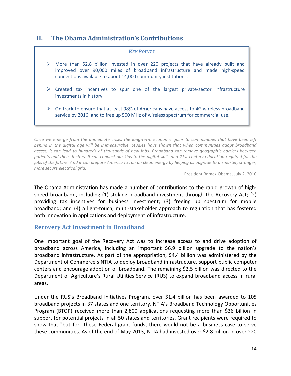# <span id="page-15-0"></span>**II. The Obama Administration's Contributions**

#### *KEY POINTS*

- $\triangleright$  More than \$2.8 billion invested in over 220 projects that have already built and improved over 90,000 miles of broadband infrastructure and made high-speed connections available to about 14,000 community institutions.
- $\triangleright$  Created tax incentives to spur one of the largest private-sector infrastructure investments in history.
- $\triangleright$  On track to ensure that at least 98% of Americans have access to 4G wireless broadband service by 2016, and to free up 500 MHz of wireless spectrum for commercial use.

*Once we emerge from the immediate crisis, the long-term economic gains to communities that have been left behind in the digital age will be immeasurable. Studies have shown that when communities adopt broadband access, it can lead to hundreds of thousands of new jobs. Broadband can remove geographic barriers between patients and their doctors. It can connect our kids to the digital skills and 21st century education required for the jobs of the future. And it can prepare America to run on clean energy by helping us upgrade to a smarter, stronger, more secure electrical grid.*

*-* President Barack Obama, July 2, 2010

The Obama Administration has made a number of contributions to the rapid growth of highspeed broadband, including (1) stoking broadband investment through the Recovery Act; (2) providing tax incentives for business investment; (3) freeing up spectrum for mobile broadband; and (4) a light-touch, multi-stakeholder approach to regulation that has fostered both innovation in applications and deployment of infrastructure.

#### <span id="page-15-1"></span>**Recovery Act Investment in Broadband**

One important goal of the Recovery Act was to increase access to and drive adoption of broadband across America, including an important \$6.9 billion upgrade to the nation's broadband infrastructure. As part of the appropriation, \$4.4 billion was administered by the Department of Commerce's NTIA to deploy broadband infrastructure, support public computer centers and encourage adoption of broadband. The remaining \$2.5 billion was directed to the Department of Agriculture's Rural Utilities Service (RUS) to expand broadband access in rural areas.

Under the RUS's Broadband Initiatives Program, over \$1.4 billion has been awarded to 105 broadband projects in 37 states and one territory. NTIA's Broadband Technology Opportunities Program (BTOP) received more than 2,800 applications requesting more than \$36 billion in support for potential projects in all 50 states and territories. Grant recipients were required to show that "but for" these Federal grant funds, there would not be a business case to serve these communities. As of the end of May 2013, NTIA had invested over \$2.8 billion in over 220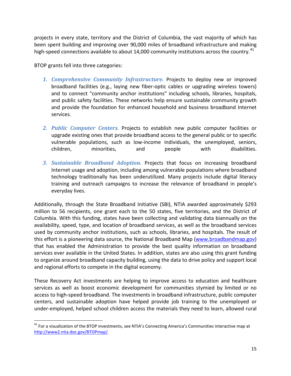projects in every state, territory and the District of Columbia, the vast majority of which has been spent building and improving over 90,000 miles of broadband infrastructure and making high-speed connections available to about 14,000 community institutions across the country.<sup>[41](#page-16-0)</sup>

BTOP grants fell into three categories:

- *1. Comprehensive Community Infrastructure.* Projects to deploy new or improved broadband facilities (e.g., laying new fiber-optic cables or upgrading wireless towers) and to connect "community anchor institutions" including schools, libraries, hospitals, and public safety facilities. These networks help ensure sustainable community growth and provide the foundation for enhanced household and business broadband Internet services.
- *2. Public Computer Centers.* Projects to establish new public computer facilities or upgrade existing ones that provide broadband access to the general public or to specific vulnerable populations, such as low-income individuals, the unemployed, seniors, children, minorities, and people with disabilities.
- *3. Sustainable Broadband Adoption.* Projects that focus on increasing broadband Internet usage and adoption, including among vulnerable populations where broadband technology traditionally has been underutilized. Many projects include digital literacy training and outreach campaigns to increase the relevance of broadband in people's everyday lives.

Additionally, through the State Broadband Initiative (SBI), NTIA awarded approximately \$293 million to 56 recipients, one grant each to the 50 states, five territories, and the District of Columbia. With this funding, states have been collecting and validating data biannually on the availability, speed, type, and location of broadband services, as well as the broadband services used by community anchor institutions, such as schools, libraries, and hospitals. The result of this effort is a pioneering data source, the National Broadband Map [\(www.broadbandmap.gov\)](http://www.broadbandmap.gov/) that has enabled the Administration to provide the best quality information on broadband services ever available in the United States. In addition, states are also using this grant funding to organize around broadband capacity building, using the data to drive policy and support local and regional efforts to compete in the digital economy.

These Recovery Act investments are helping to improve access to education and healthcare services as well as boost economic development for communities stymied by limited or no access to high-speed broadband. The investments in broadband infrastructure, public computer centers, and sustainable adoption have helped provide job training to the unemployed or under-employed, helped school children access the materials they need to learn, allowed rural

<span id="page-16-0"></span><sup>&</sup>lt;sup>41</sup> For a visualization of the BTOP investments, see NTIA's Connecting America's Communities interactive map at [http://www2.ntia.doc.gov/BTOPmap/.](http://www2.ntia.doc.gov/BTOPmap/)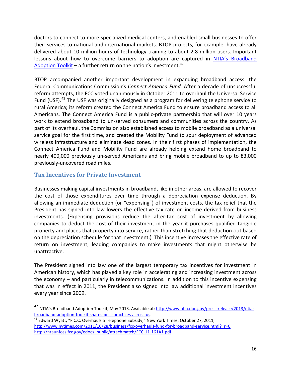doctors to connect to more specialized medical centers, and enabled small businesses to offer their services to national and international markets. BTOP projects, for example, have already delivered about 10 million hours of technology training to about 2.8 million users. Important lessons about how to overcome barriers to adoption are captured in [NTIA's Broadband](http://www2.ntia.doc.gov/files/toolkit_042913.pdf)  [Adoption Toolkit](http://www2.ntia.doc.gov/files/toolkit_042913.pdf) – a further return on the nation's investment.<sup>[42](#page-17-1)</sup>

BTOP accompanied another important development in expanding broadband access: the Federal Communications Commission's *Connect America Fund.* After a decade of unsuccessful reform attempts, the FCC voted unanimously in October 2011 to overhaul the Universal Service Fund (USF).<sup>[43](#page-17-2)</sup> The USF was originally designed as a program for delivering telephone service to rural America; its reform created the Connect America Fund to ensure broadband access to all Americans. The Connect America Fund is a public-private partnership that will over 10 years work to extend broadband to un-served consumers and communities across the country. As part of its overhaul, the Commission also established access to mobile broadband as a universal service goal for the first time, and created the Mobility Fund to spur deployment of advanced wireless infrastructure and eliminate dead zones. In their first phases of implementation, the Connect America Fund and Mobility Fund are already helping extend home broadband to nearly 400,000 previously un-served Americans and bring mobile broadband to up to 83,000 previously-uncovered road miles.

#### <span id="page-17-0"></span>**Tax Incentives for Private Investment**

Businesses making capital investments in broadband, like in other areas, are allowed to recover the cost of those expenditures over time through a depreciation expense deduction. By allowing an immediate deduction (or "expensing") of investment costs, the tax relief that the President has signed into law lowers the effective tax rate on income derived from business investments. (Expensing provisions reduce the after-tax cost of investment by allowing companies to deduct the cost of their investment in the year it purchases qualified tangible property and places that property into service, rather than stretching that deduction out based on the depreciation schedule for that investment.) This incentive increases the effective rate of return on investment, leading companies to make investments that might otherwise be unattractive.

The President signed into law one of the largest temporary tax incentives for investment in American history, which has played a key role in accelerating and increasing investment across the economy – and particularly in telecommunications. In addition to this incentive expensing that was in effect in 2011, the President also signed into law additional investment incentives every year since 2009.

<span id="page-17-1"></span> <sup>42</sup> NTIA's Broadband Adoption Toolkit, May 2013. Available at[: http://www.ntia.doc.gov/press-release/2013/ntia](http://www.ntia.doc.gov/press-release/2013/ntia-broadband-adoption-toolkit-shares-best-practices-across-us)[broadband-adoption-toolkit-shares-best-practices-across-us.](http://www.ntia.doc.gov/press-release/2013/ntia-broadband-adoption-toolkit-shares-best-practices-across-us)<br><sup>43</sup> Edward Wyatt, "F.C.C. Overhauls a Telephone Subsidy," New York Times, October 27, 2011,

<span id="page-17-2"></span>[http://www.nytimes.com/2011/10/28/business/fcc-overhauls-fund-for-broadband-service.html?\\_r=0.](http://www.nytimes.com/2011/10/28/business/fcc-overhauls-fund-for-broadband-service.html?_r=0) [http://hraunfoss.fcc.gov/edocs\\_public/attachmatch/FCC-11-161A1.pdf](http://hraunfoss.fcc.gov/edocs_public/attachmatch/FCC-11-161A1.pdf)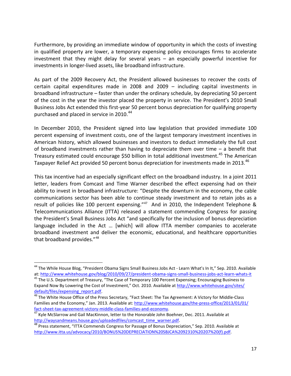Furthermore, by providing an immediate window of opportunity in which the costs of investing in qualified property are lower, a temporary expensing policy encourages firms to accelerate investment that they might delay for several years – an especially powerful incentive for investments in longer-lived assets, like broadband infrastructure.

As part of the 2009 Recovery Act, the President allowed businesses to recover the costs of certain capital expenditures made in 2008 and 2009 – including capital investments in broadband infrastructure – faster than under the ordinary schedule, by depreciating 50 percent of the cost in the year the investor placed the property in service. The President's 2010 Small Business Jobs Act extended this first-year 50 percent bonus depreciation for qualifying property purchased and placed in service in 2010.<sup>[44](#page-18-0)</sup>

In December 2010, the President signed into law legislation that provided immediate 100 percent expensing of investment costs, one of the largest temporary investment incentives in American history, which allowed businesses and investors to deduct immediately the full cost of broadband investments rather than having to depreciate them over time – a benefit that Treasury estimated could encourage \$50 billion in total additional investment.<sup>[45](#page-18-1)</sup> The American Taxpayer Relief Act provided 50 percent bonus depreciation for investments made in 2013.<sup>[46](#page-18-2)</sup>

This tax incentive had an especially significant effect on the broadband industry. In a joint 2011 letter, leaders from Comcast and Time Warner described the effect expensing had on their ability to invest in broadband infrastructure: "Despite the downturn in the economy, the cable communications sector has been able to continue steady investment and to retain jobs as a result of policies like 100 percent expensing."<sup>[47](#page-18-3)</sup> And in 2010, the Independent Telephone & Telecommunications Alliance (ITTA) released a statement commending Congress for passing the President's Small Business Jobs Act "and specifically for the inclusion of bonus depreciation language included in the Act … [which] will allow ITTA member companies to accelerate broadband investment and deliver the economic, educational, and healthcare opportunities that broadband provides."[48](#page-18-4)

<span id="page-18-1"></span><span id="page-18-0"></span><sup>&</sup>lt;sup>44</sup> The While House Blog, "President Obama Signs Small Business Jobs Act - Learn What's In It," Sep. 2010. Available at: <http://www.whitehouse.gov/blog/2010/09/27/president-obama-signs-small-business-jobs-act-learn-whats-it> 45 The U.S. Department of Treasury, "The Case of Temporary 100 Percent Expensing; Encouraging Business to Expand Now By Lowering the Cost of Investment," Oct. 2010. Available at [http://www.whitehouse.gov/sites/](http://www.whitehouse.gov/sites/%20default/files/expensing_report.pdf)  [default/files/expensing\\_report.pdf.](http://www.whitehouse.gov/sites/%20default/files/expensing_report.pdf)<br><sup>46</sup> The White House Office of the Press Secretary, "Fact Sheet: The Tax Agreement: A Victory for Middle-Class

<span id="page-18-2"></span>Families and the Economy," Jan. 2013. Available at: http://www.whitehouse.gov/the-press-office/2013/01/01/<br>fact-sheet-tax-agreement-victory-middle-class-families-and-economy.

<span id="page-18-3"></span><sup>&</sup>lt;sup>47</sup> Kyle McSlarrow and Gail MacKinnon, letter to the Honorable John Boehner, Dec. 2011. Available at http://waysandmeans.house.gov/uploadedfiles/comcast time warner.pdf.

<span id="page-18-4"></span><sup>&</sup>lt;sup>48</sup> Press statement, "ITTA Commends Congress for Passage of Bonus Depreciation," Sep. 2010. Available at [http://www.itta.us/advocacy/2010/BONUS%20DEPRECIATION%20SBJCA%2092310%20207%20\(f\).pdf.](http://www.itta.us/advocacy/2010/BONUS%20DEPRECIATION%20SBJCA%2092310%20207%20(f).pdf)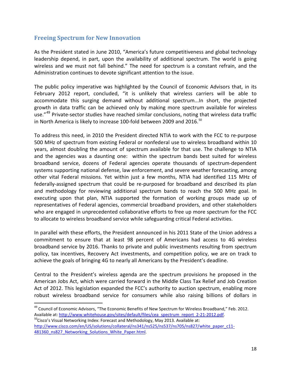#### <span id="page-19-0"></span>**Freeing Spectrum for New Innovation**

As the President stated in June 2010, "America's future competitiveness and global technology leadership depend, in part, upon the availability of additional spectrum. The world is going wireless and we must not fall behind." The need for spectrum is a constant refrain, and the Administration continues to devote significant attention to the issue.

The public policy imperative was highlighted by the Council of Economic Advisors that, in its February 2012 report, concluded, "it is unlikely that wireless carriers will be able to accommodate this surging demand without additional spectrum...In short, the projected growth in data traffic can be achieved only by making more spectrum available for wireless use."<sup>[49](#page-19-1)</sup> Private-sector studies have reached similar conclusions, noting that wireless data traffic in North America is likely to increase 100-fold between 2009 and 2016.<sup>[50](#page-19-2)</sup>

To address this need, in 2010 the President directed NTIA to work with the FCC to re-purpose 500 MHz of spectrum from existing Federal or nonfederal use to wireless broadband within 10 years, almost doubling the amount of spectrum available for that use. The challenge to NTIA and the agencies was a daunting one: within the spectrum bands best suited for wireless broadband service, dozens of Federal agencies operate thousands of spectrum-dependent systems supporting national defense, law enforcement, and severe weather forecasting, among other vital Federal missions. Yet within just a few months, NTIA had identified 115 MHz of federally-assigned spectrum that could be re-purposed for broadband and described its plan and methodology for reviewing additional spectrum bands to reach the 500 MHz goal. In executing upon that plan, NTIA supported the formation of working groups made up of representatives of Federal agencies, commercial broadband providers, and other stakeholders who are engaged in unprecedented collaborative efforts to free up more spectrum for the FCC to allocate to wireless broadband service while safeguarding critical Federal activities.

In parallel with these efforts, the President announced in his 2011 State of the Union address a commitment to ensure that at least 98 percent of Americans had access to 4G wireless broadband service by 2016. Thanks to private and public investments resulting from spectrum policy, tax incentives, Recovery Act investments, and competition policy, we are on track to achieve the goals of bringing 4G to nearly all Americans by the President's deadline.

Central to the President's wireless agenda are the spectrum provisions he proposed in the American Jobs Act, which were carried forward in the Middle Class Tax Relief and Job Creation Act of 2012. This legislation expanded the FCC's authority to auction spectrum, enabling more robust wireless broadband service for consumers while also raising billions of dollars in

<span id="page-19-1"></span><sup>49</sup> Council of Economic Advisors, "The Economic Benefits of New Spectrum for Wireless Broadband," Feb. 2012. Available at: [http://www.whitehouse.gov/sites/default/files/cea\\_spectrum\\_report\\_2-21-2012.pdf.](http://www.whitehouse.gov/sites/default/files/cea_spectrum_report_2-21-2012.pdf) 50Cisco's Visual Networking Index: Forecast and Methodology, May 2013. Available at:

<span id="page-19-2"></span>[http://www.cisco.com/en/US/solutions/collateral/ns341/ns525/ns537/ns705/ns827/white\\_paper\\_c11-](http://www.cisco.com/en/US/solutions/collateral/ns341/ns525/ns537/ns705/ns827/white_paper_c11-481360_ns827_Networking_Solutions_White_Paper.html) [481360\\_ns827\\_Networking\\_Solutions\\_White\\_Paper.html.](http://www.cisco.com/en/US/solutions/collateral/ns341/ns525/ns537/ns705/ns827/white_paper_c11-481360_ns827_Networking_Solutions_White_Paper.html)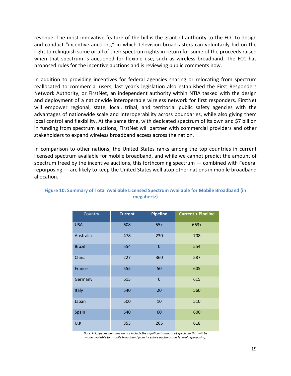revenue. The most innovative feature of the bill is the grant of authority to the FCC to design and conduct "incentive auctions," in which television broadcasters can voluntarily bid on the right to relinquish some or all of their spectrum rights in return for some of the proceeds raised when that spectrum is auctioned for flexible use, such as wireless broadband. The FCC has proposed rules for the incentive auctions and is reviewing public comments now.

In addition to providing incentives for federal agencies sharing or relocating from spectrum reallocated to commercial users, last year's legislation also established the First Responders Network Authority, or FirstNet, an independent authority within NTIA tasked with the design and deployment of a nationwide interoperable wireless network for first responders. FirstNet will empower regional, state, local, tribal, and territorial public safety agencies with the advantages of nationwide scale and interoperability across boundaries, while also giving them local control and flexibility. At the same time, with dedicated spectrum of its own and \$7 billion in funding from spectrum auctions, FirstNet will partner with commercial providers and other stakeholders to expand wireless broadband access across the nation.

In comparison to other nations, the United States ranks among the top countries in current licensed spectrum available for mobile broadband, and while we cannot predict the amount of spectrum freed by the incentive auctions, this forthcoming spectrum — combined with Federal repurposing — are likely to keep the United States well atop other nations in mobile broadband allocation.

| Country       | <b>Current</b> | <b>Pipeline</b> | <b>Current + Pipeline</b> |
|---------------|----------------|-----------------|---------------------------|
| <b>USA</b>    | 608            | $55+$           | $663+$                    |
| Australia     | 478            | 230             | 708                       |
| <b>Brazil</b> | 554            | $\overline{0}$  | 554                       |
| China         | 227            | 360             | 587                       |
| France        | 555            | 50              | 605                       |
| Germany       | 615            | $\overline{0}$  | 615                       |
| <b>Italy</b>  | 540            | 20              | 560                       |
| Japan         | 500            | 10              | 510                       |
| Spain         | 540            | 60              | 600                       |
| U.K.          | 353            | 265             | 618                       |

#### **Figure 10: Summary of Total Available Licensed Spectrum Available for Mobile Broadband (in megahertz)**

*Note: US pipeline numbers do not include the significant amount of spectrum that will be made available for mobile broadband from incentive auctions and federal repurposing.*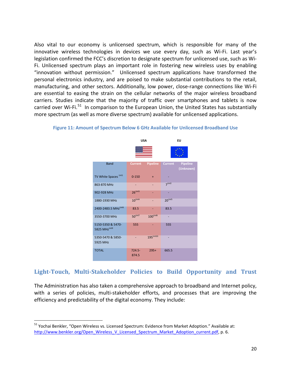Also vital to our economy is unlicensed spectrum, which is responsible for many of the innovative wireless technologies in devices we use every day, such as Wi-Fi. Last year's legislation confirmed the FCC's discretion to designate spectrum for unlicensed use, such as Wi-Fi. Unlicensed spectrum plays an important role in fostering new wireless uses by enabling "innovation without permission." Unlicensed spectrum applications have transformed the personal electronics industry, and are poised to make substantial contributions to the retail, manufacturing, and other sectors. Additionally, low power, close-range connections like Wi-Fi are essential to easing the strain on the cellular networks of the major wireless broadband carriers. Studies indicate that the majority of traffic over smartphones and tablets is now carried over Wi-Fi.<sup>[51](#page-21-1)</sup> In comparison to the European Union, the United States has substantially more spectrum (as well as more diverse spectrum) available for unlicensed applications.



#### **Figure 11: Amount of Spectrum Below 6 GHz Available for Unlicensed Broadband Use**

#### <span id="page-21-0"></span>**Light-Touch, Multi-Stakeholder Policies to Build Opportunity and Trust**

The Administration has also taken a comprehensive approach to broadband and Internet policy, with a series of policies, multi-stakeholder efforts, and processes that are improving the efficiency and predictability of the digital economy. They include:

<span id="page-21-1"></span> <sup>51</sup> Yochai Benkler, "Open Wireless vs. Licensed Spectrum: Evidence from Market Adoption." Available at: [http://www.benkler.org/Open\\_Wireless\\_V\\_Licensed\\_Spectrum\\_Market\\_Adoption\\_current.pdf,](http://www.benkler.org/Open_Wireless_V_Licensed_Spectrum_Market_Adoption_current.pdf) p. 6.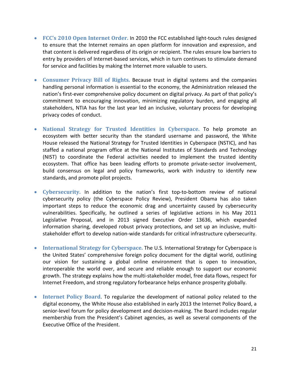- **FCC's 2010 Open Internet Order.** In 2010 the FCC established light-touch rules designed to ensure that the Internet remains an open platform for innovation and expression, and that content is delivered regardless of its origin or recipient. The rules ensure low barriers to entry by providers of Internet-based services, which in turn continues to stimulate demand for service and facilities by making the Internet more valuable to users.
- **Consumer Privacy Bill of Rights.** Because trust in digital systems and the companies handling personal information is essential to the economy, the Administration released the nation's first-ever comprehensive policy document on digital privacy. As part of that policy's commitment to encouraging innovation, minimizing regulatory burden, and engaging all stakeholders, NTIA has for the last year led an inclusive, voluntary process for developing privacy codes of conduct.
- **National Strategy for Trusted Identities in Cyberspace.** To help promote an ecosystem with better security than the standard username and password, the White House released the National Strategy for Trusted Identities in Cyberspace (NSTIC), and has staffed a national program office at the National Institutes of Standards and Technology (NIST) to coordinate the Federal activities needed to implement the trusted identity ecosystem. That office has been leading efforts to promote private-sector involvement, build consensus on legal and policy frameworks, work with industry to identify new standards, and promote pilot projects.
- **Cybersecurity.** In addition to the nation's first top-to-bottom review of national cybersecurity policy (the Cyberspace Policy Review), President Obama has also taken important steps to reduce the economic drag and uncertainty caused by cybersecurity vulnerabilities. Specifically, he outlined a series of legislative actions in his May 2011 Legislative Proposal, and in 2013 signed Executive Order 13636, which expanded information sharing, developed robust privacy protections, and set up an inclusive, multistakeholder effort to develop nation-wide standards for critical infrastructure cybersecurity.
- **International Strategy for Cyberspace.** The U.S. International Strategy for Cyberspace is the United States' comprehensive foreign policy document for the digital world, outlining our vision for sustaining a global online environment that is open to innovation, interoperable the world over, and secure and reliable enough to support our economic growth. The strategy explains how the multi-stakeholder model, free data flows, respect for Internet Freedom, and strong regulatory forbearance helps enhance prosperity globally.
- **Internet Policy Board**. To regularize the development of national policy related to the digital economy, the White House also established in early 2013 the Internet Policy Board, a senior-level forum for policy development and decision-making. The Board includes regular membership from the President's Cabinet agencies, as well as several components of the Executive Office of the President.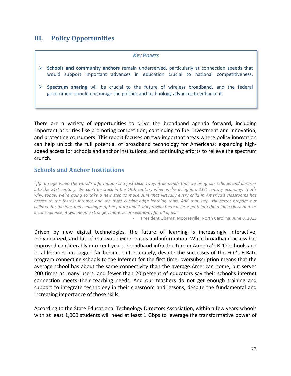# <span id="page-23-0"></span>**III. Policy Opportunities**

#### *KEY POINTS*

- **Schools and community anchors** remain underserved, particularly at connection speeds that would support important advances in education crucial to national competitiveness.
- **Spectrum sharing** will be crucial to the future of wireless broadband, and the federal government should encourage the policies and technology advances to enhance it.

There are a variety of opportunities to drive the broadband agenda forward, including important priorities like promoting competition, continuing to fuel investment and innovation, and protecting consumers. This report focuses on two important areas where policy innovation can help unlock the full potential of broadband technology for Americans: expanding highspeed access for schools and anchor institutions, and continuing efforts to relieve the spectrum crunch.

#### <span id="page-23-1"></span>**Schools and Anchor Institutions**

*"[I]n an age when the world's information is a just click away, it demands that we bring our schools and libraries into the 21st century. We can't be stuck in the 19th century when we're living in a 21st century economy. That's why, today, we're going to take a new step to make sure that virtually every child in America's classrooms has access to the fastest Internet and the most cutting-edge learning tools. And that step will better prepare our children for the jobs and challenges of the future and it will provide them a surer path into the middle class. And, as a consequence, it will mean a stronger, more secure economy for all of us."*

*-* President Obama, Mooresville, North Carolina, June 6, 2013

Driven by new digital technologies, the future of learning is increasingly interactive, individualized, and full of real-world experiences and information. While broadband access has improved considerably in recent years, broadband infrastructure in America's K-12 schools and local libraries has lagged far behind. Unfortunately, despite the successes of the FCC's E-Rate program connecting schools to the Internet for the first time, oversubscription means that the average school has about the same connectivity than the average American home, but serves 200 times as many users, and fewer than 20 percent of educators say their school's internet connection meets their teaching needs. And our teachers do not get enough training and support to integrate technology in their classroom and lessons, despite the fundamental and increasing importance of those skills.

According to the State Educational Technology Directors Association, within a few years schools with at least 1,000 students will need at least 1 Gbps to leverage the transformative power of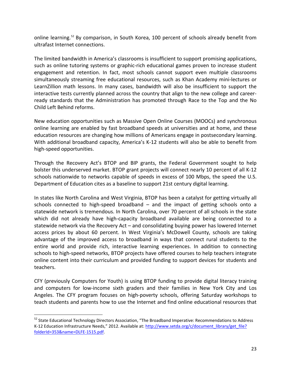online learning.<sup>[52](#page-24-0)</sup> By comparison, in South Korea, 100 percent of schools already benefit from ultrafast Internet connections.

The limited bandwidth in America's classrooms is insufficient to support promising applications, such as online tutoring systems or graphic-rich educational games proven to increase student engagement and retention. In fact, most schools cannot support even multiple classrooms simultaneously streaming free educational resources, such as Khan Academy mini-lectures or LearnZillion math lessons. In many cases, bandwidth will also be insufficient to support the interactive tests currently planned across the country that align to the new college and careerready standards that the Administration has promoted through Race to the Top and the No Child Left Behind reforms.

New education opportunities such as Massive Open Online Courses (MOOCs) and synchronous online learning are enabled by fast broadband speeds at universities and at home, and these education resources are changing how millions of Americans engage in postsecondary learning. With additional broadband capacity, America's K-12 students will also be able to benefit from high-speed opportunities.

Through the Recovery Act's BTOP and BIP grants, the Federal Government sought to help bolster this underserved market. BTOP grant projects will connect nearly 10 percent of all K-12 schools nationwide to networks capable of speeds in excess of 100 Mbps, the speed the U.S. Department of Education cites as a baseline to support 21st century digital learning.

In states like North Carolina and West Virginia, BTOP has been a catalyst for getting virtually all schools connected to high-speed broadband – and the impact of getting schools onto a statewide network is tremendous. In North Carolina, over 70 percent of all schools in the state which did not already have high-capacity broadband available are being connected to a statewide network via the Recovery Act – and consolidating buying power has lowered Internet access prices by about 60 percent. In West Virginia's McDowell County, schools are taking advantage of the improved access to broadband in ways that connect rural students to the entire world and provide rich, interactive learning experiences. In addition to connecting schools to high-speed networks, BTOP projects have offered courses to help teachers integrate online content into their curriculum and provided funding to support devices for students and teachers.

CFY (previously Computers for Youth) is using BTOP funding to provide digital literacy training and computers for low-income sixth graders and their families in New York City and Los Angeles. The CFY program focuses on high-poverty schools, offering Saturday workshops to teach students and parents how to use the Internet and find online educational resources that

<span id="page-24-0"></span><sup>&</sup>lt;sup>52</sup> State Educational Technology Directors Association, "The Broadband Imperative: Recommendations to Address K-12 Education Infrastructure Needs," 2012. Available at: http://www.setda.org/c/document\_library/get\_file? [folderId=353&name=DLFE-1515.pdf.](http://www.setda.org/c/document_library/get_file?%20folderId=353&name=DLFE-1515.pdf)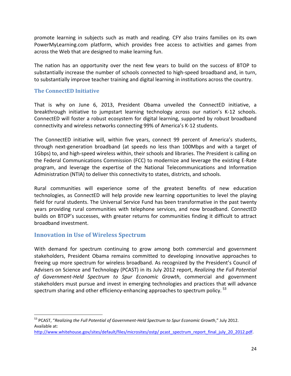promote learning in subjects such as math and reading. CFY also trains families on its own PowerMyLearning.com platform, which provides free access to activities and games from across the Web that are designed to make learning fun.

The nation has an opportunity over the next few years to build on the success of BTOP to substantially increase the number of schools connected to high-speed broadband and, in turn, to substantially improve teacher training and digital learning in institutions across the country.

#### **The ConnectED Initiative**

That is why on June 6, 2013, President Obama unveiled the ConnectED initiative, a breakthrough initiative to jumpstart learning technology across our nation's K-12 schools. ConnectED will foster a robust ecosystem for digital learning, supported by robust broadband connectivity and wireless networks connecting 99% of America's K-12 students.

The ConnectED initiative will, within five years, connect 99 percent of America's students, through next-generation broadband (at speeds no less than 100Mbps and with a target of 1Gbps) to, and high-speed wireless within, their schools and libraries. The President is calling on the Federal Communications Commission (FCC) to modernize and leverage the existing E-Rate program, and leverage the expertise of the National Telecommunications and Information Administration (NTIA) to deliver this connectivity to states, districts, and schools.

Rural communities will experience some of the greatest benefits of new education technologies, as ConnectED will help provide new learning opportunities to level the playing field for rural students. The Universal Service Fund has been transformative in the past twenty years providing rural communities with telephone services, and now broadband. ConnectED builds on BTOP's successes, with greater returns for communities finding it difficult to attract broadband investment.

#### <span id="page-25-0"></span>**Innovation in Use of Wireless Spectrum**

With demand for spectrum continuing to grow among both commercial and government stakeholders, President Obama remains committed to developing innovative approaches to freeing up more spectrum for wireless broadband. As recognized by the President's Council of Advisers on Science and Technology (PCAST) in its July 2012 report, *Realizing the Full Potential of Government-Held Spectrum to Spur Economic Growth*, commercial and government stakeholders must pursue and invest in emerging technologies and practices that will advance spectrum sharing and other efficiency-enhancing approaches to spectrum policy.<sup>[53](#page-25-1)</sup>

<span id="page-25-1"></span> <sup>53</sup> PCAST, "*Realizing the Full Potential of Government-Held Spectrum to Spur Economic Growth*," July 2012. Available at:

[http://www.whitehouse.gov/sites/default/files/microsites/ostp/ pcast\\_spectrum\\_report\\_final\\_july\\_20\\_2012.pdf.](http://www.whitehouse.gov/sites/default/files/microsites/ostp/%20pcast_spectrum_report_final_july_20_2012.pdf)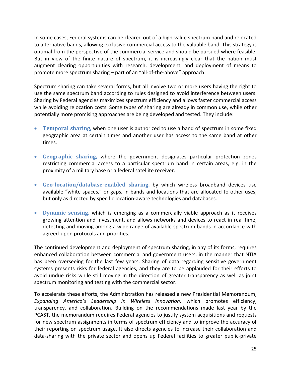In some cases, Federal systems can be cleared out of a high-value spectrum band and relocated to alternative bands, allowing exclusive commercial access to the valuable band. This strategy is optimal from the perspective of the commercial service and should be pursued where feasible. But in view of the finite nature of spectrum, it is increasingly clear that the nation must augment clearing opportunities with research, development, and deployment of means to promote more spectrum sharing – part of an "all-of-the-above" approach.

Spectrum sharing can take several forms, but all involve two or more users having the right to use the same spectrum band according to rules designed to avoid interference between users. Sharing by Federal agencies maximizes spectrum efficiency and allows faster commercial access while avoiding relocation costs. Some types of sharing are already in common use, while other potentially more promising approaches are being developed and tested. They include:

- **Temporal sharing,** when one user is authorized to use a band of spectrum in some fixed geographic area at certain times and another user has access to the same band at other times.
- **Geographic sharing,** where the government designates particular protection zones restricting commercial access to a particular spectrum band in certain areas, e.g. in the proximity of a military base or a federal satellite receiver.
- **Geo-location/database-enabled sharing,** by which wireless broadband devices use available "white spaces," or gaps, in bands and locations that are allocated to other uses, but only as directed by specific location-aware technologies and databases.
- **Dynamic sensing,** which is emerging as a commercially viable approach as it receives growing attention and investment, and allows networks and devices to react in real time, detecting and moving among a wide range of available spectrum bands in accordance with agreed-upon protocols and priorities.

The continued development and deployment of spectrum sharing, in any of its forms, requires enhanced collaboration between commercial and government users, in the manner that NTIA has been overseeing for the last few years. Sharing of data regarding sensitive government systems presents risks for federal agencies, and they are to be applauded for their efforts to avoid undue risks while still moving in the direction of greater transparency as well as joint spectrum monitoring and testing with the commercial sector.

To accelerate these efforts, the Administration has released a new Presidential Memorandum, *Expanding America's Leadership in Wireless Innovation,* which promotes efficiency, transparency, and collaboration. Building on the recommendations made last year by the PCAST, the memorandum requires Federal agencies to justify system acquisitions and requests for new spectrum assignments in terms of spectrum efficiency and to improve the accuracy of their reporting on spectrum usage. It also directs agencies to increase their collaboration and data-sharing with the private sector and opens up Federal facilities to greater public-private